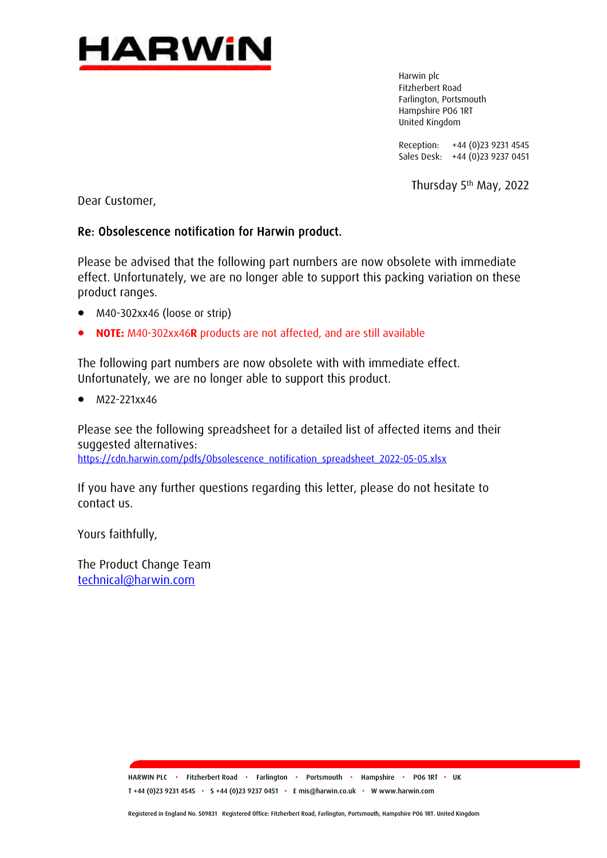

Harwin plc Fitzherbert Road Farlington, Portsmouth Hampshire PO6 1RT United Kingdom

Reception: +44 (0)23 9231 4545 Sales Desk: +44 (0)23 9237 0451

Thursday 5th May, 2022

Dear Customer,

## Re: Obsolescence notification for Harwin product.

Please be advised that the following part numbers are now obsolete with immediate effect. Unfortunately, we are no longer able to support this packing variation on these product ranges.

- M40-302xx46 (loose or strip)
- **NOTE:** M40-302xx46**R** products are not affected, and are still available

The following part numbers are now obsolete with with immediate effect. Unfortunately, we are no longer able to support this product.

• M22-221xx46

Please see the following spreadsheet for a detailed list of affected items and their suggested alternatives: [https://cdn.harwin.com/pdfs/Obsolescence\\_notification\\_spreadsheet\\_2022-05-05.xlsx](https://cdn.harwin.com/pdfs/Obsolescence_notification_spreadsheet_2022-05-05.xlsx)

If you have any further questions regarding this letter, please do not hesitate to contact us.

Yours faithfully,

The Product Change Team [technical@harwin.com](mailto:technical@harwin.com)

> HARWIN PLC • Fitzherbert Road • Farlington • Portsmouth • Hampshire • PO6 1RT • UK T +44 (0)23 9231 4545 • S +44 (0)23 9237 0451 • E mis@harwin.co.uk • W www.harwin.com